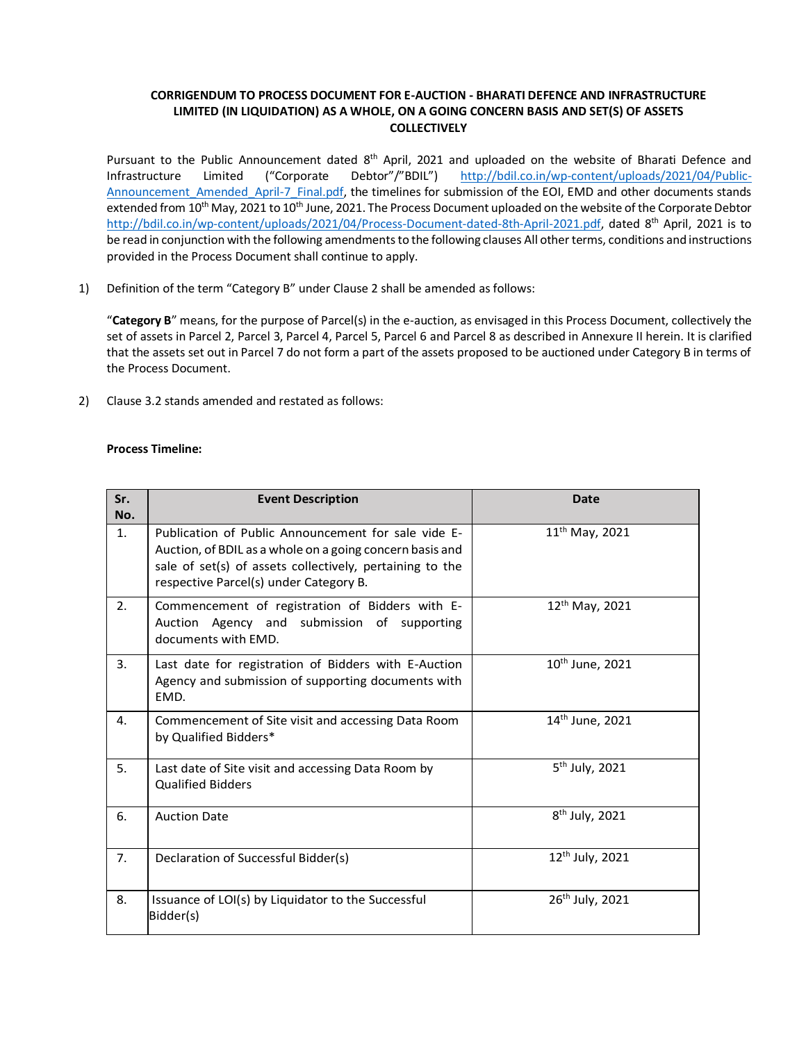## **CORRIGENDUM TO PROCESS DOCUMENT FOR E-AUCTION - BHARATI DEFENCE AND INFRASTRUCTURE LIMITED (IN LIQUIDATION) AS A WHOLE, ON A GOING CONCERN BASIS AND SET(S) OF ASSETS COLLECTIVELY**

Pursuant to the Public Announcement dated 8<sup>th</sup> April, 2021 and uploaded on the website of Bharati Defence and Infrastructure Limited ("Corporate Debtor"/"BDIL") http://bdil.co.in/wp-content/uploads/2021/04/Public-Announcement Amended April-7 Final.pdf, the timelines for submission of the EOI, EMD and other documents stands extended from 10<sup>th</sup> May, 2021 to 10<sup>th</sup> June, 2021. The Process Document uploaded on the website of the Corporate Debtor http://bdil.co.in/wp-content/uploads/2021/04/Process-Document-dated-8th-April-2021.pdf, dated 8<sup>th</sup> April, 2021 is to be read in conjunction with the following amendments to the following clauses All other terms, conditions and instructions provided in the Process Document shall continue to apply.

1) Definition of the term "Category B" under Clause 2 shall be amended as follows:

"**Category B**" means, for the purpose of Parcel(s) in the e-auction, as envisaged in this Process Document, collectively the set of assets in Parcel 2, Parcel 3, Parcel 4, Parcel 5, Parcel 6 and Parcel 8 as described in Annexure II herein. It is clarified that the assets set out in Parcel 7 do not form a part of the assets proposed to be auctioned under Category B in terms of the Process Document.

2) Clause 3.2 stands amended and restated as follows:

## **Process Timeline:**

| Sr.<br>No.     | <b>Event Description</b>                                                                                                                                                                                              | <b>Date</b>                 |
|----------------|-----------------------------------------------------------------------------------------------------------------------------------------------------------------------------------------------------------------------|-----------------------------|
| 1.             | Publication of Public Announcement for sale vide E-<br>Auction, of BDIL as a whole on a going concern basis and<br>sale of set(s) of assets collectively, pertaining to the<br>respective Parcel(s) under Category B. | $11^{th}$ May, 2021         |
| 2.             | Commencement of registration of Bidders with E-<br>Auction Agency and submission of supporting<br>documents with EMD.                                                                                                 | $12^{th}$ May, 2021         |
| 3 <sub>1</sub> | Last date for registration of Bidders with E-Auction<br>Agency and submission of supporting documents with<br>EMD.                                                                                                    | $10th$ June, 2021           |
| 4.             | Commencement of Site visit and accessing Data Room<br>by Qualified Bidders*                                                                                                                                           | 14 <sup>th</sup> June, 2021 |
| 5.             | Last date of Site visit and accessing Data Room by<br><b>Qualified Bidders</b>                                                                                                                                        | 5 <sup>th</sup> July, 2021  |
| 6.             | <b>Auction Date</b>                                                                                                                                                                                                   | $8th$ July, 2021            |
| 7.             | Declaration of Successful Bidder(s)                                                                                                                                                                                   | $12^{th}$ July, 2021        |
| 8.             | Issuance of LOI(s) by Liquidator to the Successful<br>Bidder(s)                                                                                                                                                       | 26th July, 2021             |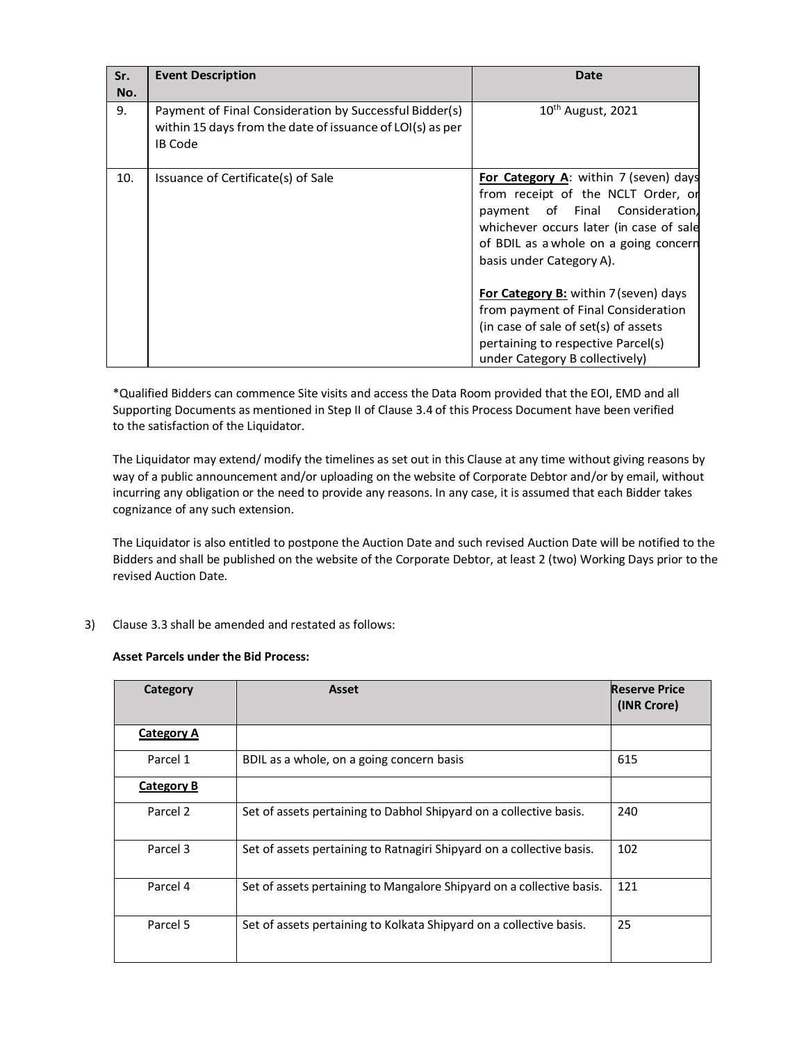| Sr.<br>No. | <b>Event Description</b>                                                                                                              | Date                                                                                                                                                                                                                           |
|------------|---------------------------------------------------------------------------------------------------------------------------------------|--------------------------------------------------------------------------------------------------------------------------------------------------------------------------------------------------------------------------------|
| 9.         | Payment of Final Consideration by Successful Bidder(s)<br>within 15 days from the date of issuance of LOI(s) as per<br><b>IB Code</b> | $10^{th}$ August, 2021                                                                                                                                                                                                         |
| 10.        | Issuance of Certificate(s) of Sale                                                                                                    | For Category A: within 7 (seven) days<br>from receipt of the NCLT Order, or<br>payment of Final Consideration,<br>whichever occurs later (in case of sale<br>of BDIL as a whole on a going concern<br>basis under Category A). |
|            |                                                                                                                                       | For Category B: within 7 (seven) days<br>from payment of Final Consideration<br>(in case of sale of set(s) of assets<br>pertaining to respective Parcel(s)<br>under Category B collectively)                                   |

\*Qualified Bidders can commence Site visits and access the Data Room provided that the EOI, EMD and all Supporting Documents as mentioned in Step II of Clause 3.4 of this Process Document have been verified to the satisfaction of the Liquidator.

The Liquidator may extend/ modify the timelines as set out in this Clause at any time without giving reasons by way of a public announcement and/or uploading on the website of Corporate Debtor and/or by email, without incurring any obligation or the need to provide any reasons. In any case, it is assumed that each Bidder takes cognizance of any such extension.

The Liquidator is also entitled to postpone the Auction Date and such revised Auction Date will be notified to the Bidders and shall be published on the website of the Corporate Debtor, at least 2 (two) Working Days prior to the revised Auction Date.

3) Clause 3.3 shall be amended and restated as follows:

## **Asset Parcels under the Bid Process:**

| Category          | Asset                                                                 | <b>Reserve Price</b><br>(INR Crore) |
|-------------------|-----------------------------------------------------------------------|-------------------------------------|
| <b>Category A</b> |                                                                       |                                     |
| Parcel 1          | BDIL as a whole, on a going concern basis                             | 615                                 |
| <b>Category B</b> |                                                                       |                                     |
| Parcel 2          | Set of assets pertaining to Dabhol Shipyard on a collective basis.    | 240                                 |
| Parcel 3          | Set of assets pertaining to Ratnagiri Shipyard on a collective basis. | 102                                 |
| Parcel 4          | Set of assets pertaining to Mangalore Shipyard on a collective basis. | 121                                 |
| Parcel 5          | Set of assets pertaining to Kolkata Shipyard on a collective basis.   | 25                                  |